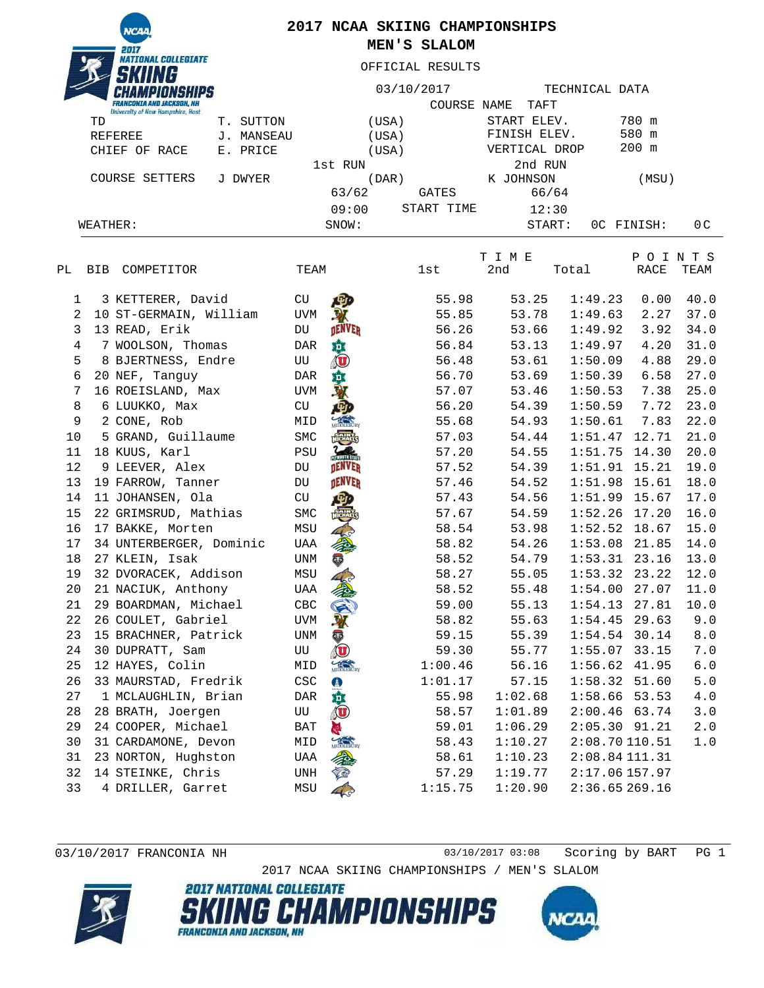**NCAI** NATIONAL COLLEGIATE

## **2017 NCAA SKIING CHAMPIONSHIPS MEN'S SLALOM**

OFFICIAL RESULTS

| <b>FRANCONIA AND JACKSON, NH</b><br>University of New Hampshire, Hast |               |             | 03/10/2017<br>COURSE | NAME<br>TAFT  | TECHNICAL DATA |                               |                |  |
|-----------------------------------------------------------------------|---------------|-------------|----------------------|---------------|----------------|-------------------------------|----------------|--|
| TD                                                                    | SUTTON<br>Τ.  | (USA)       |                      | START ELEV.   |                | 780 m                         |                |  |
| REFEREE                                                               | MANSEAU<br>J. | (USA)       |                      | FINISH ELEV.  |                | 580 m                         |                |  |
| CHIEF<br>PRICE<br>OF<br>RACE<br>Е.                                    |               | (USA)       |                      | VERTICAL DROP |                | 200 m                         |                |  |
|                                                                       |               | 1st RUN     |                      | 2nd RUN       |                |                               |                |  |
| COURSE<br>SETTERS<br>J DWYER                                          |               | (DAR)       |                      | K JOHNSON     |                | (MSU)                         |                |  |
|                                                                       |               | 63/62       | GATES                | 66/64         |                |                               |                |  |
|                                                                       |               | 09:00       | START TIME           | 12:30         |                |                               |                |  |
| WEATHER:                                                              |               | SNOW:       |                      | START:        |                | OC FINISH:                    | 0 <sup>C</sup> |  |
|                                                                       |               |             |                      | T I M E       |                | Ρ<br>$\mathbf{I}$<br>$\Omega$ | N T S          |  |
| РL<br>COMPETITOR<br><b>BIB</b>                                        |               | TEAM        | 1st                  | 2nd           | Total          | RACE                          | TEAM           |  |
| 3 KETTERER, David                                                     |               | CU<br>四     | 55.98                | 53.25         | 1:49.23        | 0.00                          | 40.0           |  |
| IO ST-GERMAIN. William                                                |               | <b>TTVM</b> | 55.85                | 53.78         | 1:49.63        | 2.27                          | 37.0           |  |

| 2  | 10 ST-GERMAIN, William  | <b>UVM</b>  |                     | 55.85   | 53.78   | 1:49.63         | 2.27  | 37.0          |
|----|-------------------------|-------------|---------------------|---------|---------|-----------------|-------|---------------|
| 3  | 13 READ, Erik           | DU          | <b>DENVER</b>       | 56.26   | 53.66   | 1:49.92         | 3.92  | 34.0          |
| 4  | 7 WOOLSON, Thomas       | DAR         | 蕀                   | 56.84   | 53.13   | 1:49.97         | 4.20  | 31.0          |
| 5  | 8 BJERTNESS, Endre      | UU          | $\bar{\mathbf{C}}$  | 56.48   | 53.61   | 1:50.09         | 4.88  | 29.0          |
| 6  | 20 NEF, Tanguy          | <b>DAR</b>  | 瑱                   | 56.70   | 53.69   | 1:50.39         | 6.58  | 27.0          |
| 7  | 16 ROEISLAND, Max       | UVM         |                     | 57.07   | 53.46   | 1:50.53         | 7.38  | 25.0          |
| 8  | 6 LUUKKO, Max           | CU          |                     | 56.20   | 54.39   | 1:50.59         | 7.72  | 23.0          |
| 9  | 2 CONE, Rob             | MID         |                     | 55.68   | 54.93   | 1:50.61         | 7.83  | 22.0          |
| 10 | 5 GRAND, Guillaume      | ${\tt SMC}$ |                     | 57.03   | 54.44   | $1:51.47$ 12.71 |       | 21.0          |
| 11 | 18 KUUS, Karl           | PSU         |                     | 57.20   | 54.55   | $1:51.75$ 14.30 |       | 20.0          |
| 12 | 9 LEEVER, Alex          | DU          |                     | 57.52   | 54.39   | 1:51.91         | 15.21 | 19.0          |
| 13 | 19 FARROW, Tanner       | DU          |                     | 57.46   | 54.52   | 1:51.98         | 15.61 | 18.0          |
| 14 | 11 JOHANSEN, Ola        | CU          |                     | 57.43   | 54.56   | $1:51.99$ 15.67 |       | 17.0          |
| 15 | 22 GRIMSRUD, Mathias    | SMC         |                     | 57.67   | 54.59   | 1:52.26         | 17.20 | 16.0          |
| 16 | 17 BAKKE, Morten        | MSU         |                     | 58.54   | 53.98   | $1:52.52$ 18.67 |       | 15.0          |
| 17 | 34 UNTERBERGER, Dominic | UAA         |                     | 58.82   | 54.26   | $1:53.08$ 21.85 |       | 14.0          |
| 18 | 27 KLEIN, Isak          | <b>UNM</b>  |                     | 58.52   | 54.79   | $1:53.31$ 23.16 |       | 13.0          |
| 19 | 32 DVORACEK, Addison    | MSU         |                     | 58.27   | 55.05   | 1:53.32         | 23.22 | 12.0          |
| 20 | 21 NACIUK, Anthony      | UAA         |                     | 58.52   | 55.48   | 1:54.00         | 27.07 | 11.0          |
| 21 | 29 BOARDMAN, Michael    | CBC         |                     | 59.00   | 55.13   | 1:54.13         | 27.81 | 10.0          |
| 22 | 26 COULET, Gabriel      | <b>UVM</b>  |                     | 58.82   | 55.63   | 1:54.45         | 29.63 | 9.0           |
| 23 | 15 BRACHNER, Patrick    | UNM         | <b>W</b>            | 59.15   | 55.39   | $1:54.54$ 30.14 |       | $8 \, . \, 0$ |
| 24 | 30 DUPRATT, Sam         | UU          | $\bigcirc$          | 59.30   | 55.77   | $1:55.07$ 33.15 |       | 7.0           |
| 25 | 12 HAYES, Colin         | MID         |                     | 1:00.46 | 56.16   | $1:56.62$ 41.95 |       | 6.0           |
| 26 | 33 MAURSTAD, Fredrik    | CSC         | $\bullet$           | 1:01.17 | 57.15   | $1:58.32$ 51.60 |       | 5.0           |
| 27 | 1 MCLAUGHLIN, Brian     | <b>DAR</b>  | 韯                   | 55.98   | 1:02.68 | $1:58.66$ 53.53 |       | 4.0           |
| 28 | 28 BRATH, Joergen       | UU          | $\langle 0 \rangle$ | 58.57   | 1:01.89 | $2:00.46$ 63.74 |       | 3.0           |
| 29 | 24 COOPER, Michael      | BAT         |                     | 59.01   | 1:06.29 | $2:05.30$ 91.21 |       | 2.0           |
| 30 | 31 CARDAMONE, Devon     | MID         | MIDDLEBURY          | 58.43   | 1:10.27 | 2:08.70 110.51  |       | 1.0           |
| 31 | 23 NORTON, Hughston     | UAA         |                     | 58.61   | 1:10.23 | 2:08.84 111.31  |       |               |
| 32 | 14 STEINKE, Chris       | UNH         |                     | 57.29   | 1:19.77 | 2:17.06 157.97  |       |               |
| 33 | 4 DRILLER, Garret       | MSU         |                     | 1:15.75 | 1:20.90 | 2:36.65269.16   |       |               |
|    |                         |             |                     |         |         |                 |       |               |

03/10/2017 FRANCONIA NH 03/10/2017 03:08 Scoring by BART PG 1 2017 NCAA SKIING CHAMPIONSHIPS / MEN'S SLALOM



**2017 NATIONAL COLLEGIATE** *HAMPIONSHIPS*  $\boldsymbol{H}$ **FRANCONIA AND JACKSON, NH**